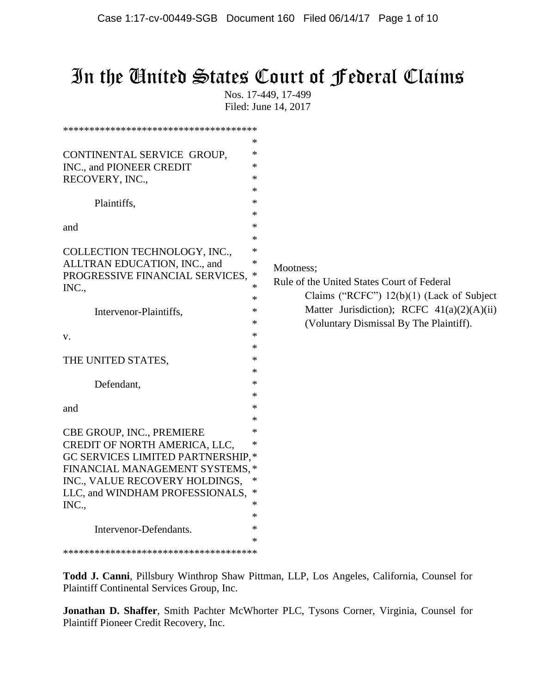# In the United States Court of Federal Claims

Nos. 17-449, 17-499 Filed: June 14, 2017

| ************************************** |   |                                              |
|----------------------------------------|---|----------------------------------------------|
|                                        | * |                                              |
| CONTINENTAL SERVICE GROUP,             | ∗ |                                              |
| INC., and PIONEER CREDIT               | ∗ |                                              |
| RECOVERY, INC.,                        | * |                                              |
|                                        | * |                                              |
| Plaintiffs,                            | * |                                              |
|                                        | * |                                              |
| and                                    | * |                                              |
|                                        | * |                                              |
| COLLECTION TECHNOLOGY, INC.,           | * |                                              |
| ALLTRAN EDUCATION, INC., and           | * |                                              |
| PROGRESSIVE FINANCIAL SERVICES,        | ∗ | Mootness;                                    |
| INC.,                                  | * | Rule of the United States Court of Federal   |
|                                        | * | Claims ("RCFC") 12(b)(1) (Lack of Subject    |
| Intervenor-Plaintiffs,                 | * | Matter Jurisdiction); RCFC $41(a)(2)(A)(ii)$ |
|                                        | * | (Voluntary Dismissal By The Plaintiff).      |
| V.                                     | * |                                              |
|                                        | * |                                              |
| THE UNITED STATES,                     | * |                                              |
|                                        | * |                                              |
| Defendant,                             | ∗ |                                              |
|                                        | * |                                              |
| and                                    | * |                                              |
|                                        | * |                                              |
| CBE GROUP, INC., PREMIERE              | * |                                              |
| CREDIT OF NORTH AMERICA, LLC,          | * |                                              |
| GC SERVICES LIMITED PARTNERSHIP,*      |   |                                              |
| FINANCIAL MANAGEMENT SYSTEMS,*         |   |                                              |
| INC., VALUE RECOVERY HOLDINGS,         | ∗ |                                              |
| LLC, and WINDHAM PROFESSIONALS,        | ∗ |                                              |
| INC.,                                  | ∗ |                                              |
|                                        | ∗ |                                              |
| Intervenor-Defendants.                 | * |                                              |
|                                        | * |                                              |
| ************************************** |   |                                              |

**Todd J. Canni**, Pillsbury Winthrop Shaw Pittman, LLP, Los Angeles, California, Counsel for Plaintiff Continental Services Group, Inc.

**Jonathan D. Shaffer**, Smith Pachter McWhorter PLC, Tysons Corner, Virginia, Counsel for Plaintiff Pioneer Credit Recovery, Inc.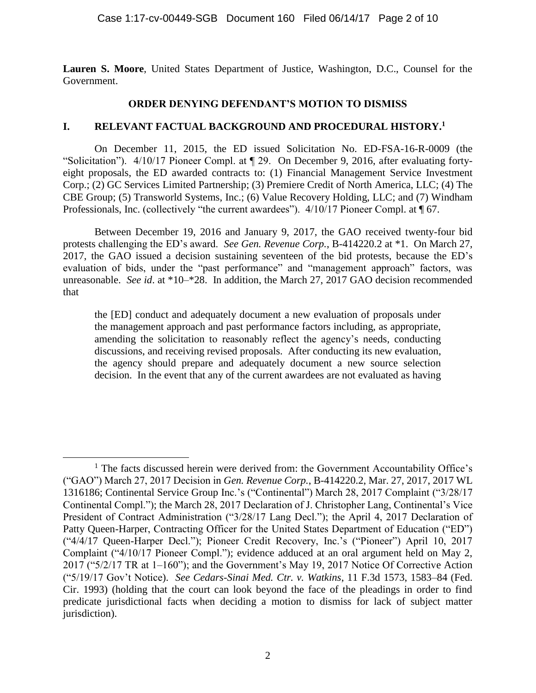**Lauren S. Moore**, United States Department of Justice, Washington, D.C., Counsel for the Government.

#### **ORDER DENYING DEFENDANT'S MOTION TO DISMISS**

#### **I. RELEVANT FACTUAL BACKGROUND AND PROCEDURAL HISTORY.<sup>1</sup>**

On December 11, 2015, the ED issued Solicitation No. ED-FSA-16-R-0009 (the "Solicitation"). 4/10/17 Pioneer Compl. at ¶ 29. On December 9, 2016, after evaluating fortyeight proposals, the ED awarded contracts to: (1) Financial Management Service Investment Corp.; (2) GC Services Limited Partnership; (3) Premiere Credit of North America, LLC; (4) The CBE Group; (5) Transworld Systems, Inc.; (6) Value Recovery Holding, LLC; and (7) Windham Professionals, Inc. (collectively "the current awardees"). 4/10/17 Pioneer Compl. at ¶ 67.

Between December 19, 2016 and January 9, 2017, the GAO received twenty-four bid protests challenging the ED's award. *See Gen. Revenue Corp.*, B-414220.2 at \*1. On March 27, 2017, the GAO issued a decision sustaining seventeen of the bid protests, because the ED's evaluation of bids, under the "past performance" and "management approach" factors, was unreasonable. *See id*. at \*10–\*28. In addition, the March 27, 2017 GAO decision recommended that

the [ED] conduct and adequately document a new evaluation of proposals under the management approach and past performance factors including, as appropriate, amending the solicitation to reasonably reflect the agency's needs, conducting discussions, and receiving revised proposals. After conducting its new evaluation, the agency should prepare and adequately document a new source selection decision. In the event that any of the current awardees are not evaluated as having

 $\overline{a}$ 

<sup>&</sup>lt;sup>1</sup> The facts discussed herein were derived from: the Government Accountability Office's ("GAO") March 27, 2017 Decision in *Gen. Revenue Corp.*, B-414220.2, Mar. 27, 2017, 2017 WL 1316186; Continental Service Group Inc.'s ("Continental") March 28, 2017 Complaint ("3/28/17 Continental Compl."); the March 28, 2017 Declaration of J. Christopher Lang, Continental's Vice President of Contract Administration ("3/28/17 Lang Decl."); the April 4, 2017 Declaration of Patty Queen-Harper, Contracting Officer for the United States Department of Education ("ED") ("4/4/17 Queen-Harper Decl."); Pioneer Credit Recovery, Inc.'s ("Pioneer") April 10, 2017 Complaint ("4/10/17 Pioneer Compl."); evidence adduced at an oral argument held on May 2, 2017 ("5/2/17 TR at 1–160"); and the Government's May 19, 2017 Notice Of Corrective Action ("5/19/17 Gov't Notice). *See Cedars-Sinai Med. Ctr. v. Watkins*, 11 F.3d 1573, 1583–84 (Fed. Cir. 1993) (holding that the court can look beyond the face of the pleadings in order to find predicate jurisdictional facts when deciding a motion to dismiss for lack of subject matter jurisdiction).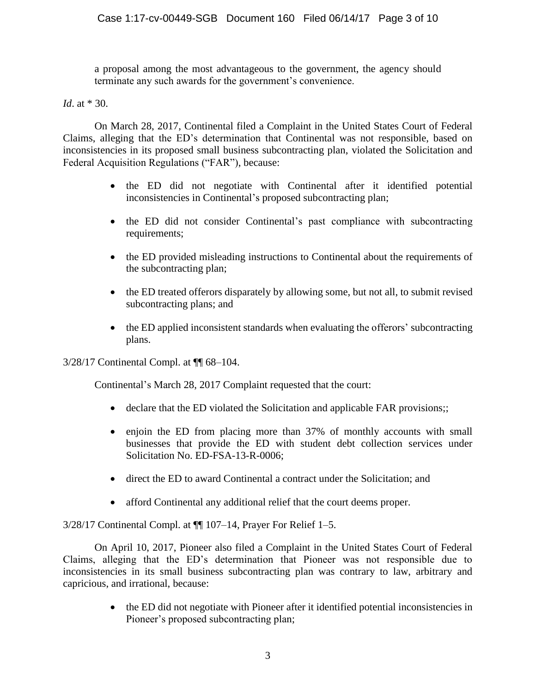a proposal among the most advantageous to the government, the agency should terminate any such awards for the government's convenience.

*Id*. at \* 30.

On March 28, 2017, Continental filed a Complaint in the United States Court of Federal Claims, alleging that the ED's determination that Continental was not responsible, based on inconsistencies in its proposed small business subcontracting plan, violated the Solicitation and Federal Acquisition Regulations ("FAR"), because:

- the ED did not negotiate with Continental after it identified potential inconsistencies in Continental's proposed subcontracting plan;
- the ED did not consider Continental's past compliance with subcontracting requirements;
- the ED provided misleading instructions to Continental about the requirements of the subcontracting plan;
- the ED treated offerors disparately by allowing some, but not all, to submit revised subcontracting plans; and
- the ED applied inconsistent standards when evaluating the offerors' subcontracting plans.

3/28/17 Continental Compl. at ¶¶ 68–104.

Continental's March 28, 2017 Complaint requested that the court:

- declare that the ED violated the Solicitation and applicable FAR provisions;;
- enjoin the ED from placing more than 37% of monthly accounts with small businesses that provide the ED with student debt collection services under Solicitation No. ED-FSA-13-R-0006;
- direct the ED to award Continental a contract under the Solicitation; and
- afford Continental any additional relief that the court deems proper.

3/28/17 Continental Compl. at ¶¶ 107–14, Prayer For Relief 1–5.

On April 10, 2017, Pioneer also filed a Complaint in the United States Court of Federal Claims, alleging that the ED's determination that Pioneer was not responsible due to inconsistencies in its small business subcontracting plan was contrary to law, arbitrary and capricious, and irrational, because:

> • the ED did not negotiate with Pioneer after it identified potential inconsistencies in Pioneer's proposed subcontracting plan;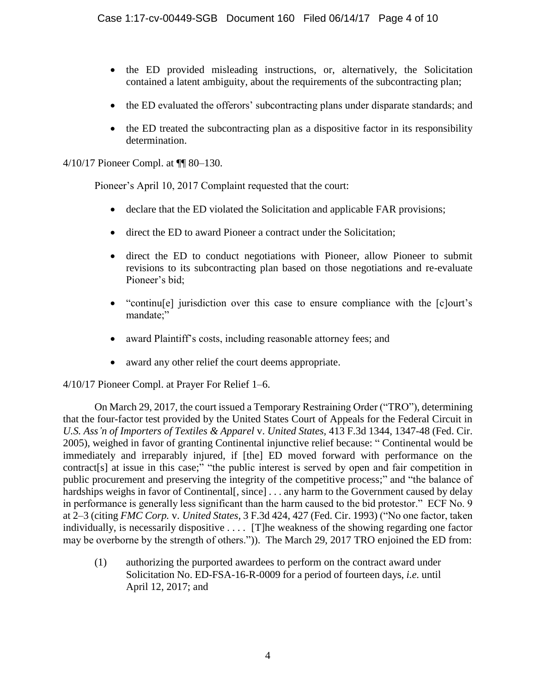- the ED provided misleading instructions, or, alternatively, the Solicitation contained a latent ambiguity, about the requirements of the subcontracting plan;
- the ED evaluated the offerors' subcontracting plans under disparate standards; and
- the ED treated the subcontracting plan as a dispositive factor in its responsibility determination.

4/10/17 Pioneer Compl. at ¶¶ 80–130.

Pioneer's April 10, 2017 Complaint requested that the court:

- declare that the ED violated the Solicitation and applicable FAR provisions;
- direct the ED to award Pioneer a contract under the Solicitation;
- direct the ED to conduct negotiations with Pioneer, allow Pioneer to submit revisions to its subcontracting plan based on those negotiations and re-evaluate Pioneer's bid;
- "continu[e] jurisdiction over this case to ensure compliance with the [c]ourt's mandate;"
- award Plaintiff's costs, including reasonable attorney fees; and
- award any other relief the court deems appropriate.

4/10/17 Pioneer Compl. at Prayer For Relief 1–6.

On March 29, 2017, the court issued a Temporary Restraining Order ("TRO"), determining that the four-factor test provided by the United States Court of Appeals for the Federal Circuit in *U.S. Ass'n of Importers of Textiles & Apparel* v. *United States,* 413 F.3d 1344, 1347-48 (Fed. Cir. 2005), weighed in favor of granting Continental injunctive relief because: " Continental would be immediately and irreparably injured, if [the] ED moved forward with performance on the contract[s] at issue in this case;" "the public interest is served by open and fair competition in public procurement and preserving the integrity of the competitive process;" and "the balance of hardships weighs in favor of Continental [, since] . . . any harm to the Government caused by delay in performance is generally less significant than the harm caused to the bid protestor." ECF No. 9 at 2–3 (citing *FMC Corp.* v. *United States*, 3 F.3d 424, 427 (Fed. Cir. 1993) ("No one factor, taken individually, is necessarily dispositive . . . . [T]he weakness of the showing regarding one factor may be overborne by the strength of others.")). The March 29, 2017 TRO enjoined the ED from:

(1) authorizing the purported awardees to perform on the contract award under Solicitation No. ED-FSA-16-R-0009 for a period of fourteen days, *i.e.* until April 12, 2017; and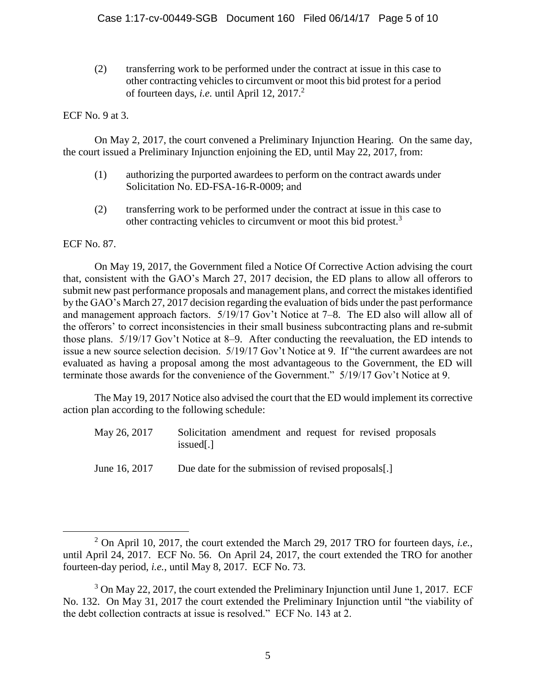(2) transferring work to be performed under the contract at issue in this case to other contracting vehicles to circumvent or moot this bid protest for a period of fourteen days, *i.e.* until April 12, 2017.<sup>2</sup>

ECF No. 9 at 3.

On May 2, 2017, the court convened a Preliminary Injunction Hearing. On the same day, the court issued a Preliminary Injunction enjoining the ED, until May 22, 2017, from:

- (1) authorizing the purported awardees to perform on the contract awards under Solicitation No. ED-FSA-16-R-0009; and
- (2) transferring work to be performed under the contract at issue in this case to other contracting vehicles to circumvent or moot this bid protest.<sup>3</sup>

#### ECF No. 87.

 $\overline{a}$ 

On May 19, 2017, the Government filed a Notice Of Corrective Action advising the court that, consistent with the GAO's March 27, 2017 decision, the ED plans to allow all offerors to submit new past performance proposals and management plans, and correct the mistakes identified by the GAO's March 27, 2017 decision regarding the evaluation of bids under the past performance and management approach factors. 5/19/17 Gov't Notice at 7–8. The ED also will allow all of the offerors' to correct inconsistencies in their small business subcontracting plans and re-submit those plans. 5/19/17 Gov't Notice at 8–9. After conducting the reevaluation, the ED intends to issue a new source selection decision. 5/19/17 Gov't Notice at 9. If "the current awardees are not evaluated as having a proposal among the most advantageous to the Government, the ED will terminate those awards for the convenience of the Government." 5/19/17 Gov't Notice at 9.

The May 19, 2017 Notice also advised the court that the ED would implement its corrective action plan according to the following schedule:

May 26, 2017 Solicitation amendment and request for revised proposals issued[.]

June 16, 2017 Due date for the submission of revised proposals[.]

<sup>2</sup> On April 10, 2017, the court extended the March 29, 2017 TRO for fourteen days, *i.e.*, until April 24, 2017. ECF No. 56. On April 24, 2017, the court extended the TRO for another fourteen-day period, *i.e.*, until May 8, 2017. ECF No. 73.

 $3$  On May 22, 2017, the court extended the Preliminary Injunction until June 1, 2017. ECF No. 132. On May 31, 2017 the court extended the Preliminary Injunction until "the viability of the debt collection contracts at issue is resolved." ECF No. 143 at 2.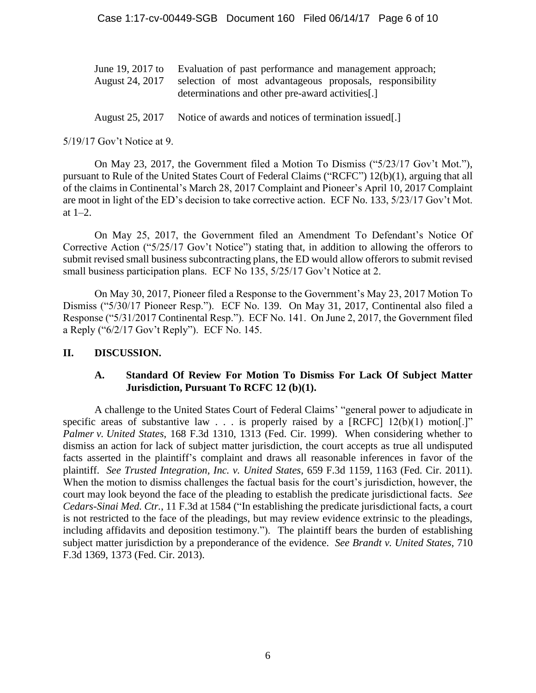June 19, 2017 to August 24, 2017 Evaluation of past performance and management approach; selection of most advantageous proposals, responsibility determinations and other pre-award activities[.]

August 25, 2017 Notice of awards and notices of termination issued[.]

5/19/17 Gov't Notice at 9.

On May 23, 2017, the Government filed a Motion To Dismiss ("5/23/17 Gov't Mot."), pursuant to Rule of the United States Court of Federal Claims ("RCFC") 12(b)(1), arguing that all of the claims in Continental's March 28, 2017 Complaint and Pioneer's April 10, 2017 Complaint are moot in light of the ED's decision to take corrective action. ECF No. 133, 5/23/17 Gov't Mot. at 1–2.

On May 25, 2017, the Government filed an Amendment To Defendant's Notice Of Corrective Action ("5/25/17 Gov't Notice") stating that, in addition to allowing the offerors to submit revised small business subcontracting plans, the ED would allow offerors to submit revised small business participation plans. ECF No 135, 5/25/17 Gov't Notice at 2.

On May 30, 2017, Pioneer filed a Response to the Government's May 23, 2017 Motion To Dismiss ("5/30/17 Pioneer Resp."). ECF No. 139. On May 31, 2017, Continental also filed a Response ("5/31/2017 Continental Resp."). ECF No. 141. On June 2, 2017, the Government filed a Reply ("6/2/17 Gov't Reply"). ECF No. 145.

## **II. DISCUSSION.**

## **A. Standard Of Review For Motion To Dismiss For Lack Of Subject Matter Jurisdiction, Pursuant To RCFC 12 (b)(1).**

A challenge to the United States Court of Federal Claims' "general power to adjudicate in specific areas of substantive law  $\ldots$  is properly raised by a [RCFC] 12(b)(1) motion[.]" *Palmer v. United States*, 168 F.3d 1310, 1313 (Fed. Cir. 1999). When considering whether to dismiss an action for lack of subject matter jurisdiction, the court accepts as true all undisputed facts asserted in the plaintiff's complaint and draws all reasonable inferences in favor of the plaintiff. *See Trusted Integration, Inc. v. United States*, 659 F.3d 1159, 1163 (Fed. Cir. 2011). When the motion to dismiss challenges the factual basis for the court's jurisdiction, however, the court may look beyond the face of the pleading to establish the predicate jurisdictional facts. *See Cedars-Sinai Med. Ctr.*, 11 F.3d at 1584 ("In establishing the predicate jurisdictional facts, a court is not restricted to the face of the pleadings, but may review evidence extrinsic to the pleadings, including affidavits and deposition testimony."). The plaintiff bears the burden of establishing subject matter jurisdiction by a preponderance of the evidence. *See Brandt v. United States*, 710 F.3d 1369, 1373 (Fed. Cir. 2013).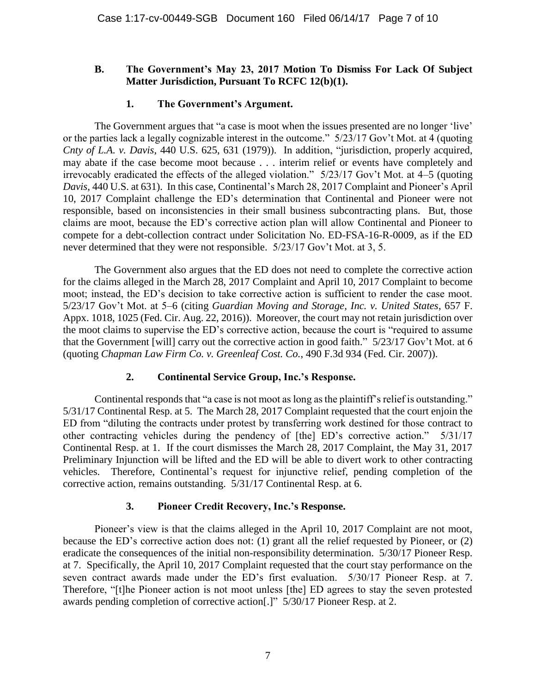#### **B. The Government's May 23, 2017 Motion To Dismiss For Lack Of Subject Matter Jurisdiction, Pursuant To RCFC 12(b)(1).**

## **1. The Government's Argument.**

The Government argues that "a case is moot when the issues presented are no longer 'live' or the parties lack a legally cognizable interest in the outcome." 5/23/17 Gov't Mot. at 4 (quoting *Cnty of L.A. v. Davis*, 440 U.S. 625, 631 (1979)). In addition, "jurisdiction, properly acquired, may abate if the case become moot because . . . interim relief or events have completely and irrevocably eradicated the effects of the alleged violation." 5/23/17 Gov't Mot. at 4–5 (quoting *Davis*, 440 U.S. at 631). In this case, Continental's March 28, 2017 Complaint and Pioneer's April 10, 2017 Complaint challenge the ED's determination that Continental and Pioneer were not responsible, based on inconsistencies in their small business subcontracting plans. But, those claims are moot, because the ED's corrective action plan will allow Continental and Pioneer to compete for a debt-collection contract under Solicitation No. ED-FSA-16-R-0009, as if the ED never determined that they were not responsible. 5/23/17 Gov't Mot. at 3, 5.

The Government also argues that the ED does not need to complete the corrective action for the claims alleged in the March 28, 2017 Complaint and April 10, 2017 Complaint to become moot; instead, the ED's decision to take corrective action is sufficient to render the case moot. 5/23/17 Gov't Mot. at 5–6 (citing *Guardian Moving and Storage, Inc. v. United States*, 657 F. Appx. 1018, 1025 (Fed. Cir. Aug. 22, 2016)). Moreover, the court may not retain jurisdiction over the moot claims to supervise the ED's corrective action, because the court is "required to assume that the Government [will] carry out the corrective action in good faith." 5/23/17 Gov't Mot. at 6 (quoting *Chapman Law Firm Co. v. Greenleaf Cost. Co.*, 490 F.3d 934 (Fed. Cir. 2007)).

# **2. Continental Service Group, Inc.'s Response.**

Continental responds that "a case is not moot as long as the plaintiff's relief is outstanding." 5/31/17 Continental Resp. at 5. The March 28, 2017 Complaint requested that the court enjoin the ED from "diluting the contracts under protest by transferring work destined for those contract to other contracting vehicles during the pendency of [the] ED's corrective action." 5/31/17 Continental Resp. at 1. If the court dismisses the March 28, 2017 Complaint, the May 31, 2017 Preliminary Injunction will be lifted and the ED will be able to divert work to other contracting vehicles. Therefore, Continental's request for injunctive relief, pending completion of the corrective action, remains outstanding. 5/31/17 Continental Resp. at 6.

# **3. Pioneer Credit Recovery, Inc.'s Response.**

Pioneer's view is that the claims alleged in the April 10, 2017 Complaint are not moot, because the ED's corrective action does not: (1) grant all the relief requested by Pioneer, or (2) eradicate the consequences of the initial non-responsibility determination. 5/30/17 Pioneer Resp. at 7. Specifically, the April 10, 2017 Complaint requested that the court stay performance on the seven contract awards made under the ED's first evaluation. 5/30/17 Pioneer Resp. at 7. Therefore, "[t]he Pioneer action is not moot unless [the] ED agrees to stay the seven protested awards pending completion of corrective action[.]" 5/30/17 Pioneer Resp. at 2.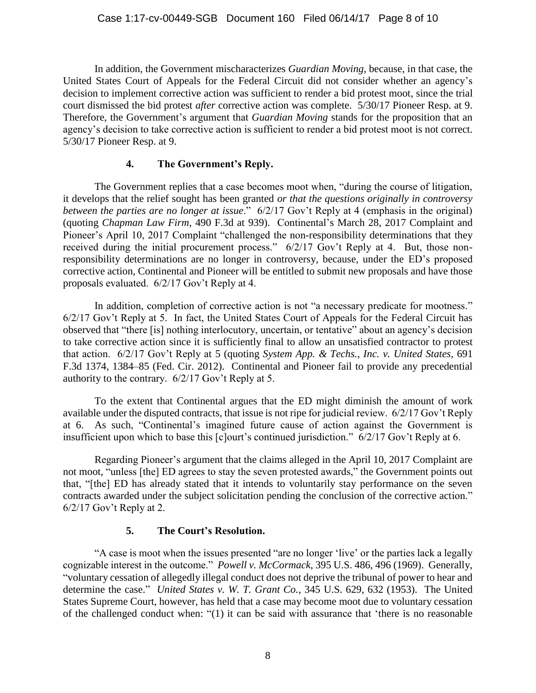In addition, the Government mischaracterizes *Guardian Moving*, because, in that case, the United States Court of Appeals for the Federal Circuit did not consider whether an agency's decision to implement corrective action was sufficient to render a bid protest moot, since the trial court dismissed the bid protest *after* corrective action was complete. 5/30/17 Pioneer Resp. at 9. Therefore, the Government's argument that *Guardian Moving* stands for the proposition that an agency's decision to take corrective action is sufficient to render a bid protest moot is not correct. 5/30/17 Pioneer Resp. at 9.

## **4. The Government's Reply.**

The Government replies that a case becomes moot when, "during the course of litigation, it develops that the relief sought has been granted *or that the questions originally in controversy between the parties are no longer at issue*." 6/2/17 Gov't Reply at 4 (emphasis in the original) (quoting *Chapman Law Firm*, 490 F.3d at 939). Continental's March 28, 2017 Complaint and Pioneer's April 10, 2017 Complaint "challenged the non-responsibility determinations that they received during the initial procurement process." 6/2/17 Gov't Reply at 4. But, those nonresponsibility determinations are no longer in controversy, because, under the ED's proposed corrective action, Continental and Pioneer will be entitled to submit new proposals and have those proposals evaluated. 6/2/17 Gov't Reply at 4.

In addition, completion of corrective action is not "a necessary predicate for mootness." 6/2/17 Gov't Reply at 5. In fact, the United States Court of Appeals for the Federal Circuit has observed that "there [is] nothing interlocutory, uncertain, or tentative" about an agency's decision to take corrective action since it is sufficiently final to allow an unsatisfied contractor to protest that action. 6/2/17 Gov't Reply at 5 (quoting *System App. & Techs., Inc. v. United States*, 691 F.3d 1374, 1384–85 (Fed. Cir. 2012). Continental and Pioneer fail to provide any precedential authority to the contrary. 6/2/17 Gov't Reply at 5.

To the extent that Continental argues that the ED might diminish the amount of work available under the disputed contracts, that issue is not ripe for judicial review. 6/2/17 Gov't Reply at 6. As such, "Continental's imagined future cause of action against the Government is insufficient upon which to base this [c]ourt's continued jurisdiction." 6/2/17 Gov't Reply at 6.

Regarding Pioneer's argument that the claims alleged in the April 10, 2017 Complaint are not moot, "unless [the] ED agrees to stay the seven protested awards," the Government points out that, "[the] ED has already stated that it intends to voluntarily stay performance on the seven contracts awarded under the subject solicitation pending the conclusion of the corrective action." 6/2/17 Gov't Reply at 2.

## **5. The Court's Resolution.**

"A case is moot when the issues presented "are no longer 'live' or the parties lack a legally cognizable interest in the outcome." *Powell v. McCormack*, 395 U.S. 486, 496 (1969). Generally, "voluntary cessation of allegedly illegal conduct does not deprive the tribunal of power to hear and determine the case." *United States v. W. T. Grant Co.*, 345 U.S. 629, 632 (1953). The United States Supreme Court, however, has held that a case may become moot due to voluntary cessation of the challenged conduct when: "(1) it can be said with assurance that 'there is no reasonable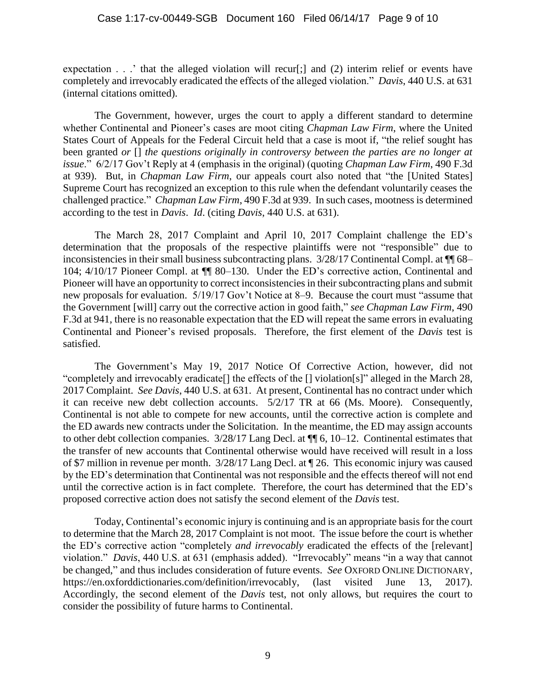expectation . . .' that the alleged violation will recur[;] and (2) interim relief or events have completely and irrevocably eradicated the effects of the alleged violation." *Davis*, 440 U.S. at 631 (internal citations omitted).

The Government, however, urges the court to apply a different standard to determine whether Continental and Pioneer's cases are moot citing *Chapman Law Firm*, where the United States Court of Appeals for the Federal Circuit held that a case is moot if, "the relief sought has been granted *or* [] *the questions originally in controversy between the parties are no longer at issue*." 6/2/17 Gov't Reply at 4 (emphasis in the original) (quoting *Chapman Law Firm*, 490 F.3d at 939). But, in *Chapman Law Firm*, our appeals court also noted that "the [United States] Supreme Court has recognized an exception to this rule when the defendant voluntarily ceases the challenged practice." *Chapman Law Firm*, 490 F.3d at 939. In such cases, mootness is determined according to the test in *Davis*. *Id*. (citing *Davis*, 440 U.S. at 631).

The March 28, 2017 Complaint and April 10, 2017 Complaint challenge the ED's determination that the proposals of the respective plaintiffs were not "responsible" due to inconsistencies in their small business subcontracting plans.  $3/28/17$  Continental Compl. at  $\P$  68– 104; 4/10/17 Pioneer Compl. at ¶¶ 80–130. Under the ED's corrective action, Continental and Pioneer will have an opportunity to correct inconsistencies in their subcontracting plans and submit new proposals for evaluation. 5/19/17 Gov't Notice at 8–9. Because the court must "assume that the Government [will] carry out the corrective action in good faith," *see Chapman Law Firm*, 490 F.3d at 941, there is no reasonable expectation that the ED will repeat the same errors in evaluating Continental and Pioneer's revised proposals. Therefore, the first element of the *Davis* test is satisfied.

The Government's May 19, 2017 Notice Of Corrective Action, however, did not "completely and irrevocably eradicate[] the effects of the [] violation[s]" alleged in the March 28, 2017 Complaint. *See Davis*, 440 U.S. at 631. At present, Continental has no contract under which it can receive new debt collection accounts. 5/2/17 TR at 66 (Ms. Moore). Consequently, Continental is not able to compete for new accounts, until the corrective action is complete and the ED awards new contracts under the Solicitation. In the meantime, the ED may assign accounts to other debt collection companies. 3/28/17 Lang Decl. at ¶¶ 6, 10–12. Continental estimates that the transfer of new accounts that Continental otherwise would have received will result in a loss of \$7 million in revenue per month. 3/28/17 Lang Decl. at ¶ 26. This economic injury was caused by the ED's determination that Continental was not responsible and the effects thereof will not end until the corrective action is in fact complete. Therefore, the court has determined that the ED's proposed corrective action does not satisfy the second element of the *Davis* test.

Today, Continental's economic injury is continuing and is an appropriate basis for the court to determine that the March 28, 2017 Complaint is not moot. The issue before the court is whether the ED's corrective action "completely *and irrevocably* eradicated the effects of the [relevant] violation." *Davis*, 440 U.S. at 631 (emphasis added). "Irrevocably" means "in a way that cannot be changed," and thus includes consideration of future events. *See* OXFORD ONLINE DICTIONARY, https://en.oxforddictionaries.com/definition/irrevocably, (last visited June 13, 2017). Accordingly, the second element of the *Davis* test, not only allows, but requires the court to consider the possibility of future harms to Continental.